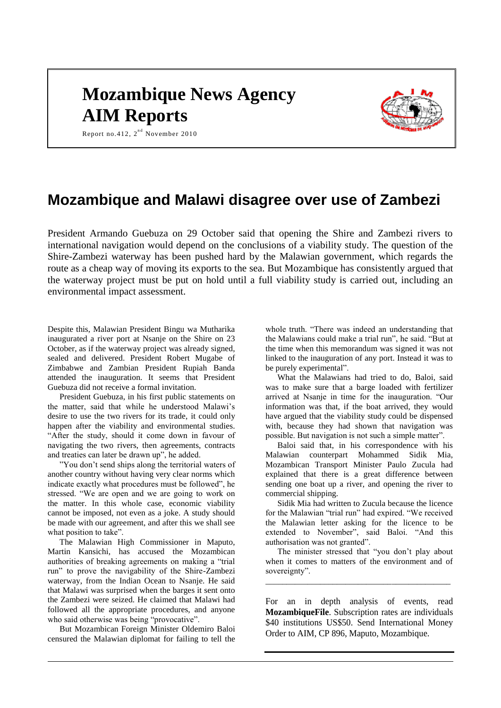# **Mozambique News Agency AIM Reports**



Report no.412,  $2^{nd}$  November 2010

### **Mozambique and Malawi disagree over use of Zambezi**

President Armando Guebuza on 29 October said that opening the Shire and Zambezi rivers to international navigation would depend on the conclusions of a viability study. The question of the Shire-Zambezi waterway has been pushed hard by the Malawian government, which regards the route as a cheap way of moving its exports to the sea. But Mozambique has consistently argued that the waterway project must be put on hold until a full viability study is carried out, including an environmental impact assessment.

Despite this, Malawian President Bingu wa Mutharika inaugurated a river port at Nsanje on the Shire on 23 October, as if the waterway project was already signed, sealed and delivered. President Robert Mugabe of Zimbabwe and Zambian President Rupiah Banda attended the inauguration. It seems that President Guebuza did not receive a formal invitation.

President Guebuza, in his first public statements on the matter, said that while he understood Malawi's desire to use the two rivers for its trade, it could only happen after the viability and environmental studies. "After the study, should it come down in favour of navigating the two rivers, then agreements, contracts and treaties can later be drawn up", he added.

"You don't send ships along the territorial waters of another country without having very clear norms which indicate exactly what procedures must be followed", he stressed. "We are open and we are going to work on the matter. In this whole case, economic viability cannot be imposed, not even as a joke. A study should be made with our agreement, and after this we shall see what position to take".

The Malawian High Commissioner in Maputo, Martin Kansichi, has accused the Mozambican authorities of breaking agreements on making a "trial run" to prove the navigability of the Shire-Zambezi waterway, from the Indian Ocean to Nsanje. He said that Malawi was surprised when the barges it sent onto the Zambezi were seized. He claimed that Malawi had followed all the appropriate procedures, and anyone who said otherwise was being "provocative".

But Mozambican Foreign Minister Oldemiro Baloi censured the Malawian diplomat for failing to tell the

whole truth. "There was indeed an understanding that the Malawians could make a trial run", he said. "But at the time when this memorandum was signed it was not linked to the inauguration of any port. Instead it was to be purely experimental".

What the Malawians had tried to do, Baloi, said was to make sure that a barge loaded with fertilizer arrived at Nsanje in time for the inauguration. "Our information was that, if the boat arrived, they would have argued that the viability study could be dispensed with, because they had shown that navigation was possible. But navigation is not such a simple matter".

Baloi said that, in his correspondence with his Malawian counterpart Mohammed Sidik Mia, Mozambican Transport Minister Paulo Zucula had explained that there is a great difference between sending one boat up a river, and opening the river to commercial shipping.

Sidik Mia had written to Zucula because the licence for the Malawian "trial run" had expired. "We received the Malawian letter asking for the licence to be extended to November", said Baloi. "And this authorisation was not granted".

The minister stressed that "you don't play about when it comes to matters of the environment and of sovereignty".

\_\_\_\_\_\_\_\_\_\_\_\_\_\_\_\_\_\_\_\_\_\_\_\_\_\_\_\_\_\_\_\_\_\_\_\_\_\_\_\_\_\_\_\_

For an in depth analysis of events, read **MozambiqueFile**. Subscription rates are individuals \$40 institutions US\$50. Send International Money Order to AIM, CP 896, Maputo, Mozambique.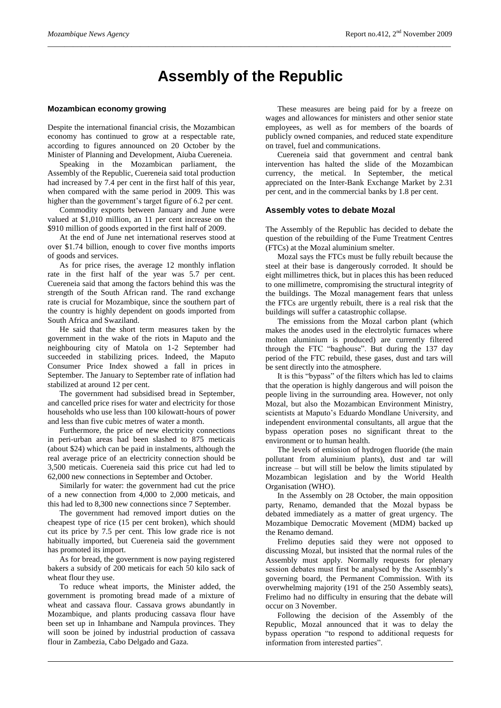## **Assembly of the Republic**

*\_\_\_\_\_\_\_\_\_\_\_\_\_\_\_\_\_\_\_\_\_\_\_\_\_\_\_\_\_\_\_\_\_\_\_\_\_\_\_\_\_\_\_\_\_\_\_\_\_\_\_\_\_\_\_\_\_\_\_\_\_\_\_\_\_\_\_\_\_\_\_\_\_\_\_\_\_\_\_\_\_\_\_\_\_\_\_\_\_\_\_\_\_\_\_\_*

#### **Mozambican economy growing**

Despite the international financial crisis, the Mozambican economy has continued to grow at a respectable rate, according to figures announced on 20 October by the Minister of Planning and Development, Aiuba Cuereneia.

Speaking in the Mozambican parliament, the Assembly of the Republic, Cuereneia said total production had increased by 7.4 per cent in the first half of this year, when compared with the same period in 2009. This was higher than the government's target figure of 6.2 per cent.

Commodity exports between January and June were valued at \$1,010 million, an 11 per cent increase on the \$910 million of goods exported in the first half of 2009.

At the end of June net international reserves stood at over \$1.74 billion, enough to cover five months imports of goods and services.

As for price rises, the average 12 monthly inflation rate in the first half of the year was 5.7 per cent. Cuereneia said that among the factors behind this was the strength of the South African rand. The rand exchange rate is crucial for Mozambique, since the southern part of the country is highly dependent on goods imported from South Africa and Swaziland.

He said that the short term measures taken by the government in the wake of the riots in Maputo and the neighbouring city of Matola on 1-2 September had succeeded in stabilizing prices. Indeed, the Maputo Consumer Price Index showed a fall in prices in September. The January to September rate of inflation had stabilized at around 12 per cent.

The government had subsidised bread in September, and cancelled price rises for water and electricity for those households who use less than 100 kilowatt-hours of power and less than five cubic metres of water a month.

Furthermore, the price of new electricity connections in peri-urban areas had been slashed to 875 meticais (about \$24) which can be paid in instalments, although the real average price of an electricity connection should be 3,500 meticais. Cuereneia said this price cut had led to 62,000 new connections in September and October.

Similarly for water: the government had cut the price of a new connection from 4,000 to 2,000 meticais, and this had led to 8,300 new connections since 7 September.

The government had removed import duties on the cheapest type of rice (15 per cent broken), which should cut its price by 7.5 per cent. This low grade rice is not habitually imported, but Cuereneia said the government has promoted its import.

As for bread, the government is now paying registered bakers a subsidy of 200 meticais for each 50 kilo sack of wheat flour they use.

To reduce wheat imports, the Minister added, the government is promoting bread made of a mixture of wheat and cassava flour. Cassava grows abundantly in Mozambique, and plants producing cassava flour have been set up in Inhambane and Nampula provinces. They will soon be joined by industrial production of cassava flour in Zambezia, Cabo Delgado and Gaza.

These measures are being paid for by a freeze on wages and allowances for ministers and other senior state employees, as well as for members of the boards of publicly owned companies, and reduced state expenditure on travel, fuel and communications.

Cuereneia said that government and central bank intervention has halted the slide of the Mozambican currency, the metical. In September, the metical appreciated on the Inter-Bank Exchange Market by 2.31 per cent, and in the commercial banks by 1.8 per cent.

#### **Assembly votes to debate Mozal**

The Assembly of the Republic has decided to debate the question of the rebuilding of the Fume Treatment Centres (FTCs) at the Mozal aluminium smelter.

Mozal says the FTCs must be fully rebuilt because the steel at their base is dangerously corroded. It should be eight millimetres thick, but in places this has been reduced to one millimetre, compromising the structural integrity of the buildings. The Mozal management fears that unless the FTCs are urgently rebuilt, there is a real risk that the buildings will suffer a catastrophic collapse.

The emissions from the Mozal carbon plant (which makes the anodes used in the electrolytic furnaces where molten aluminium is produced) are currently filtered through the FTC "baghouse". But during the 137 day period of the FTC rebuild, these gases, dust and tars will be sent directly into the atmosphere.

It is this "bypass" of the filters which has led to claims that the operation is highly dangerous and will poison the people living in the surrounding area. However, not only Mozal, but also the Mozambican Environment Ministry, scientists at Maputo's Eduardo Mondlane University, and independent environmental consultants, all argue that the bypass operation poses no significant threat to the environment or to human health.

The levels of emission of hydrogen fluoride (the main pollutant from aluminium plants), dust and tar will increase – but will still be below the limits stipulated by Mozambican legislation and by the World Health Organisation (WHO).

In the Assembly on 28 October, the main opposition party, Renamo, demanded that the Mozal bypass be debated immediately as a matter of great urgency. The Mozambique Democratic Movement (MDM) backed up the Renamo demand.

Frelimo deputies said they were not opposed to discussing Mozal, but insisted that the normal rules of the Assembly must apply. Normally requests for plenary session debates must first be analysed by the Assembly's governing board, the Permanent Commission. With its overwhelming majority (191 of the 250 Assembly seats), Frelimo had no difficulty in ensuring that the debate will occur on 3 November.

Following the decision of the Assembly of the Republic, Mozal announced that it was to delay the bypass operation "to respond to additional requests for information from interested parties".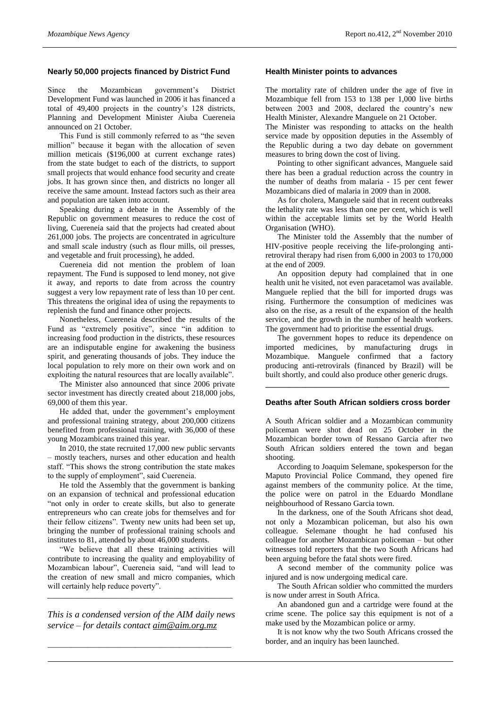#### **Nearly 50,000 projects financed by District Fund**

Since the Mozambican government's District Development Fund was launched in 2006 it has financed a total of 49,400 projects in the country's 128 districts, Planning and Development Minister Aiuba Cuereneia announced on 21 October.

This Fund is still commonly referred to as "the seven million" because it began with the allocation of seven million meticais (\$196,000 at current exchange rates) from the state budget to each of the districts, to support small projects that would enhance food security and create jobs. It has grown since then, and districts no longer all receive the same amount. Instead factors such as their area and population are taken into account.

Speaking during a debate in the Assembly of the Republic on government measures to reduce the cost of living, Cuereneia said that the projects had created about 261,000 jobs. The projects are concentrated in agriculture and small scale industry (such as flour mills, oil presses, and vegetable and fruit processing), he added.

Cuereneia did not mention the problem of loan repayment. The Fund is supposed to lend money, not give it away, and reports to date from across the country suggest a very low repayment rate of less than 10 per cent. This threatens the original idea of using the repayments to replenish the fund and finance other projects.

Nonetheless, Cuereneia described the results of the Fund as "extremely positive", since "in addition to increasing food production in the districts, these resources are an indisputable engine for awakening the business spirit, and generating thousands of jobs. They induce the local population to rely more on their own work and on exploiting the natural resources that are locally available".

The Minister also announced that since 2006 private sector investment has directly created about 218,000 jobs, 69,000 of them this year.

He added that, under the government's employment and professional training strategy, about 200,000 citizens benefited from professional training, with 36,000 of these young Mozambicans trained this year.

In 2010, the state recruited 17,000 new public servants – mostly teachers, nurses and other education and health staff. "This shows the strong contribution the state makes to the supply of employment", said Cuereneia.

He told the Assembly that the government is banking on an expansion of technical and professional education "not only in order to create skills, but also to generate entrepreneurs who can create jobs for themselves and for their fellow citizens". Twenty new units had been set up, bringing the number of professional training schools and institutes to 81, attended by about 46,000 students.

"We believe that all these training activities will contribute to increasing the quality and employability of Mozambican labour", Cuereneia said, "and will lead to the creation of new small and micro companies, which will certainly help reduce poverty".

*This is a condensed version of the AIM daily news service – for details contact [aim@aim.org.mz](mailto:aim@aim.org.mz)*

\_\_\_\_\_\_\_\_\_\_\_\_\_\_\_\_\_\_\_\_\_\_\_\_\_\_\_\_\_\_\_\_\_\_\_\_\_\_\_\_\_\_\_\_\_\_

\_\_\_\_\_\_\_\_\_\_\_\_\_\_\_\_\_\_\_\_\_\_\_\_\_\_\_\_\_\_\_\_\_\_\_\_\_\_\_\_\_\_\_\_\_\_\_\_\_\_\_\_\_\_\_\_\_\_\_\_\_\_\_\_\_\_

#### **Health Minister points to advances**

The mortality rate of children under the age of five in Mozambique fell from 153 to 138 per 1,000 live births between 2003 and 2008, declared the country's new Health Minister, Alexandre Manguele on 21 October.

The Minister was responding to attacks on the health service made by opposition deputies in the Assembly of the Republic during a two day debate on government measures to bring down the cost of living.

Pointing to other significant advances, Manguele said there has been a gradual reduction across the country in the number of deaths from malaria - 15 per cent fewer Mozambicans died of malaria in 2009 than in 2008.

As for cholera, Manguele said that in recent outbreaks the lethality rate was less than one per cent, which is well within the acceptable limits set by the World Health Organisation (WHO).

The Minister told the Assembly that the number of HIV-positive people receiving the life-prolonging antiretroviral therapy had risen from 6,000 in 2003 to 170,000 at the end of 2009.

An opposition deputy had complained that in one health unit he visited, not even paracetamol was available. Manguele replied that the bill for imported drugs was rising. Furthermore the consumption of medicines was also on the rise, as a result of the expansion of the health service, and the growth in the number of health workers. The government had to prioritise the essential drugs.

The government hopes to reduce its dependence on imported medicines, by manufacturing drugs in Mozambique. Manguele confirmed that a factory producing anti-retrovirals (financed by Brazil) will be built shortly, and could also produce other generic drugs. **\_\_\_\_\_\_\_\_\_\_\_\_\_\_\_\_\_\_\_\_\_\_\_\_\_\_\_\_\_\_\_\_\_\_\_\_\_\_\_\_\_\_\_\_\_\_**

#### **Deaths after South African soldiers cross border**

A South African soldier and a Mozambican community policeman were shot dead on 25 October in the Mozambican border town of Ressano Garcia after two South African soldiers entered the town and began shooting.

According to Joaquim Selemane, spokesperson for the Maputo Provincial Police Command, they opened fire against members of the community police. At the time, the police were on patrol in the Eduardo Mondlane neighbourhood of Ressano Garcia town.

In the darkness, one of the South Africans shot dead, not only a Mozambican policeman, but also his own colleague. Selemane thought he had confused his colleague for another Mozambican policeman – but other witnesses told reporters that the two South Africans had been arguing before the fatal shots were fired.

A second member of the community police was injured and is now undergoing medical care.

The South African soldier who committed the murders is now under arrest in South Africa.

An abandoned gun and a cartridge were found at the crime scene. The police say this equipment is not of a make used by the Mozambican police or army.

It is not know why the two South Africans crossed the border, and an inquiry has been launched.